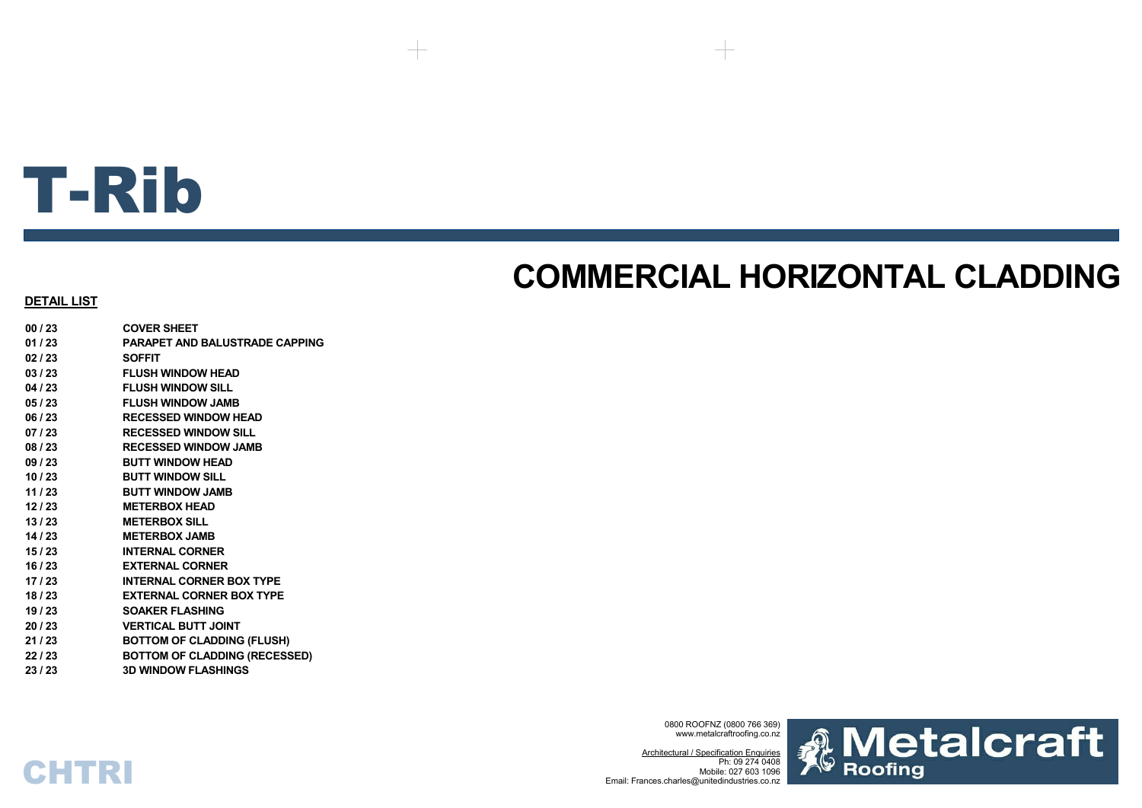# T-Rib

# **COMMERCIAL HORIZONTAL CLADDING**

### **DETAIL LIST**

**00 / 23 COVER SHEET01 / 23 PARAPET AND BALUSTRADE CAPPING02 / 23 SOFFIT03 / 23 FLUSH WINDOW HEAD04 / 23 FLUSH WINDOW SILL05 / 23 FLUSH WINDOW JAMB06 / 23 RECESSED WINDOW HEAD07 / 23 RECESSED WINDOW SILL08 / 23 RECESSED WINDOW JAMB09 / 23 BUTT WINDOW HEAD10 / 23 BUTT WINDOW SILL11 / 23 BUTT WINDOW JAMB12 / 23 METERBOX HEAD13 / 23 METERBOX SILL14 / 23 METERBOX JAMB 15 / 23 INTERNAL CORNER16 / 23 EXTERNAL CORNER17 / 23 INTERNAL CORNER BOX TYPE18 / 23 EXTERNAL CORNER BOX TYPE19 / 23 SOAKER FLASHING20 / 23 VERTICAL BUTT JOINT21 / 23 BOTTOM OF CLADDING (FLUSH) 22 / 23 BOTTOM OF CLADDING (RECESSED) 23 / 23 3D WINDOW FLASHINGS**

**CHTRI** 

0800 ROOFNZ (0800 766 369) www.metalcraftroofing.co.nz

Architectural / Specification Enquiries Ph: 09 274 0408 Mobile: 027 603 1096Email: Frances.charles@unitedindustries.co.nz

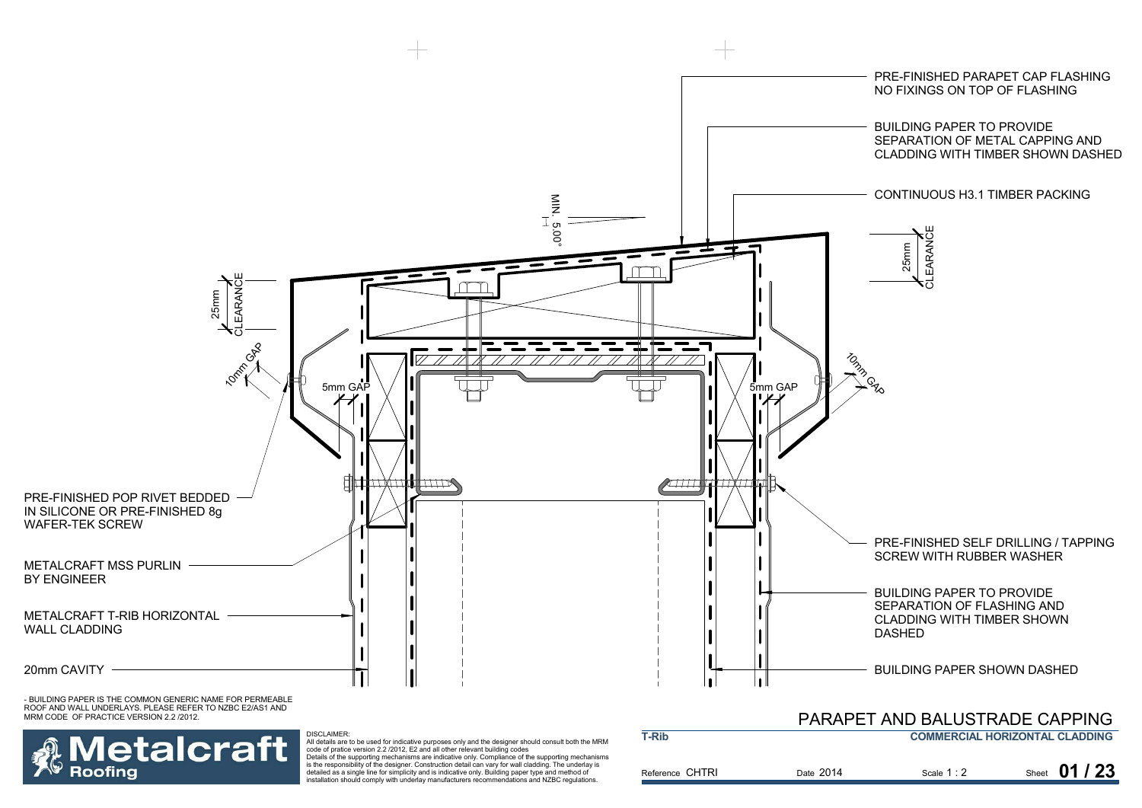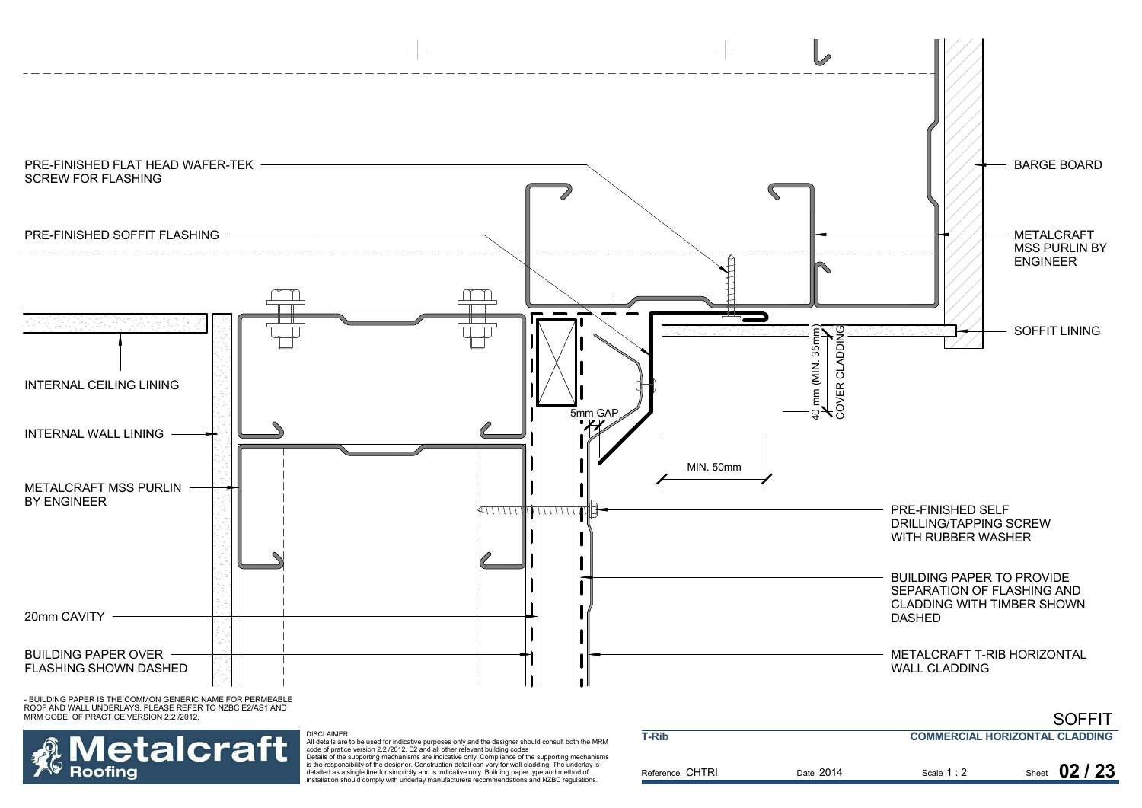

**Metalcraft Roofing** 

All details are to be used for indicative purposes only and the designer should consult both the MRM<br>code of pratice version 2.2 /2012, E2 and all other relevant building codes<br>Details of the supporting mechanisms are indi

is the responsibility of the designer. Construction detail can vary for wall cladding. The underlay is detailed as a single line for simplicity and is indicative only. Building paper type and method of installation should comply with underlay manufacturers recommendations and NZBC regulations.

| <b>T-Rib</b>    | <b>COMMERCIAL HORIZONTAL CLADDING</b> |             |               |
|-----------------|---------------------------------------|-------------|---------------|
| Reference CHTRI | Date 2014                             | Scale $1:2$ | Sheet 02 / 23 |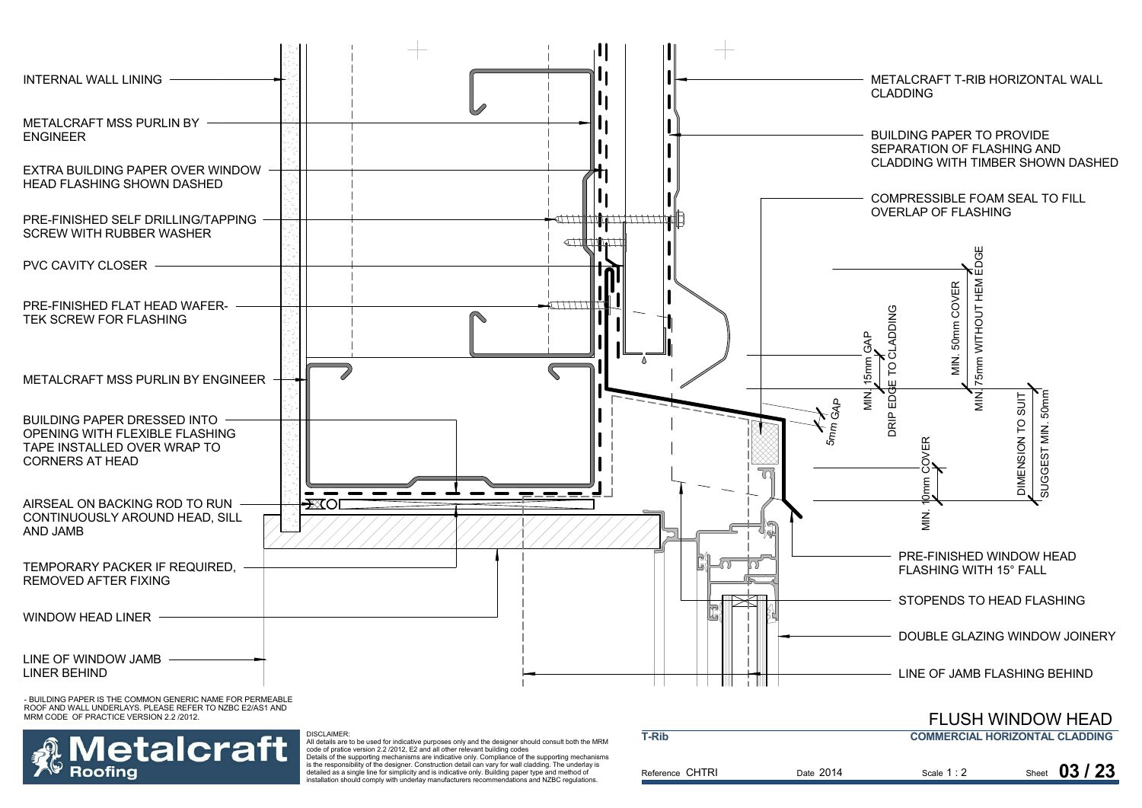

etalcraft Roofina

 All details are to be used for indicative purposes only and the designer should consult both the MRM code of pratice version 2.2 /2012, E2 and all other relevant building codes Details of the supporting mechanisms are indicative only. Compliance of the supporting mechanisms

is the responsibility of the designer. Construction detail can vary for wall cladding. The underlay is detailed as a single line for simplicity and is indicative only. Building paper type and method of installation should comply with underlay manufacturers recommendations and NZBC regulations.

| T-Rib           |  |           | <b>COMMERCIAL HORIZONTAL CLADDING</b> |  |               |
|-----------------|--|-----------|---------------------------------------|--|---------------|
| Reference CHTRI |  | Date 2014 | Scale $1:2$                           |  | Sheet $03/23$ |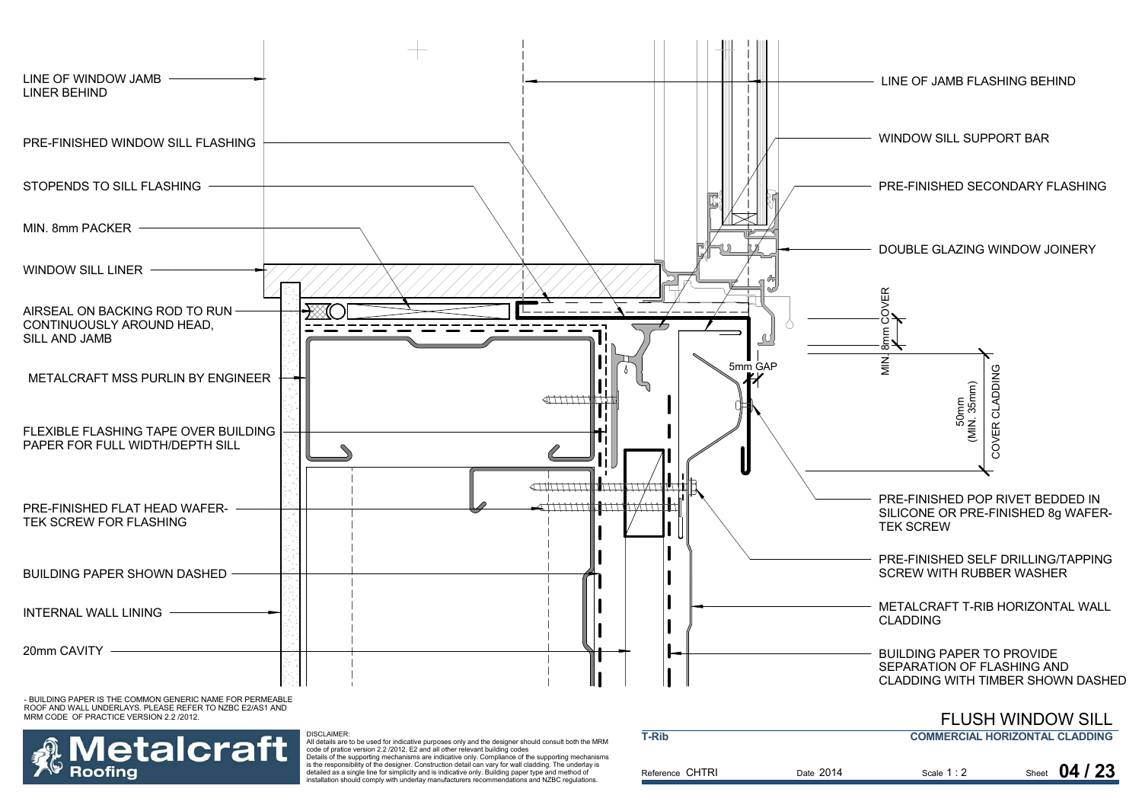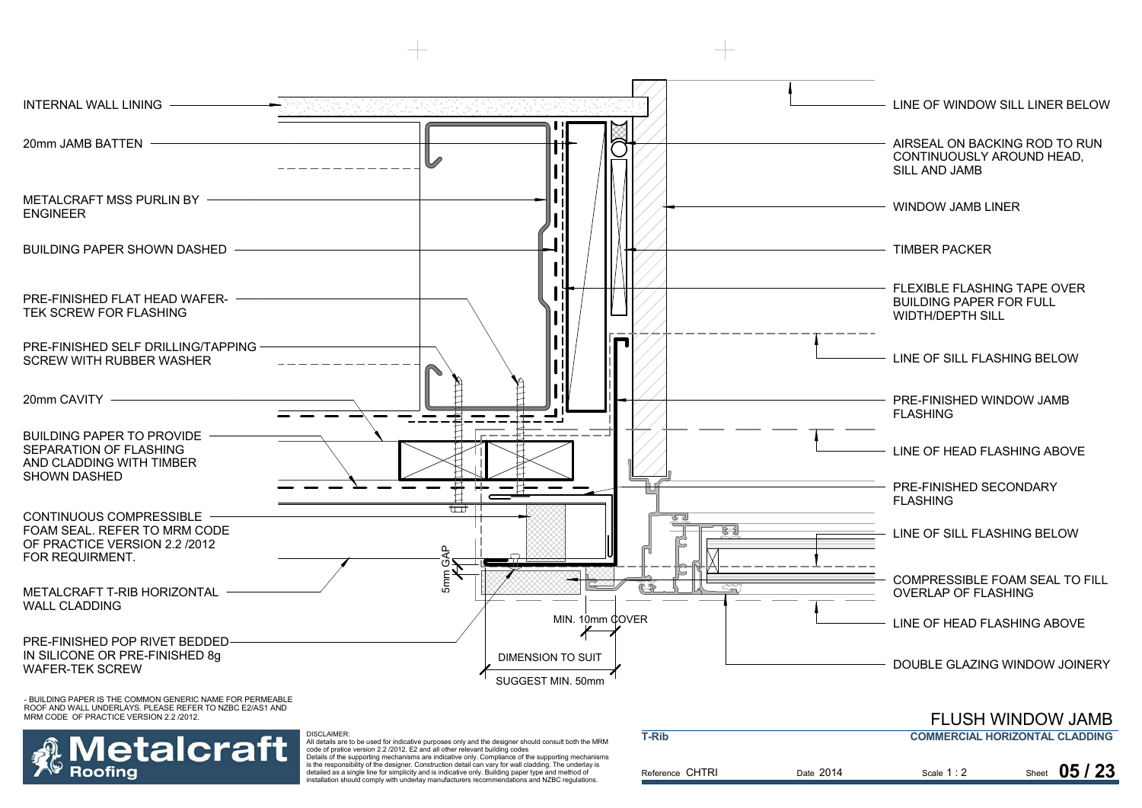

etalcraft All details are to be used for indicative purposes only and the designer should consult both the MRM code of pratice version 2.2 /2012, E2 and all other relevant building codes Details of the supporting mechanisms are indicative only. Compliance of the supporting mechanisms is the responsibility of the designer. Construction detail can vary for wall cladding. The underlay is detailed as a single line for simplicity and is indicative only. Building paper type and method of

Roofina

installation should comply with underlay manufacturers recommendations and NZBC regulations.

| <b>T-Rib</b>    |           | <b>COMMERCIAL HORIZONTAL CLADDING</b> |                |  |
|-----------------|-----------|---------------------------------------|----------------|--|
| Reference CHTRI | Date 2014 | Scale $1:2$                           | 05/23<br>Sheet |  |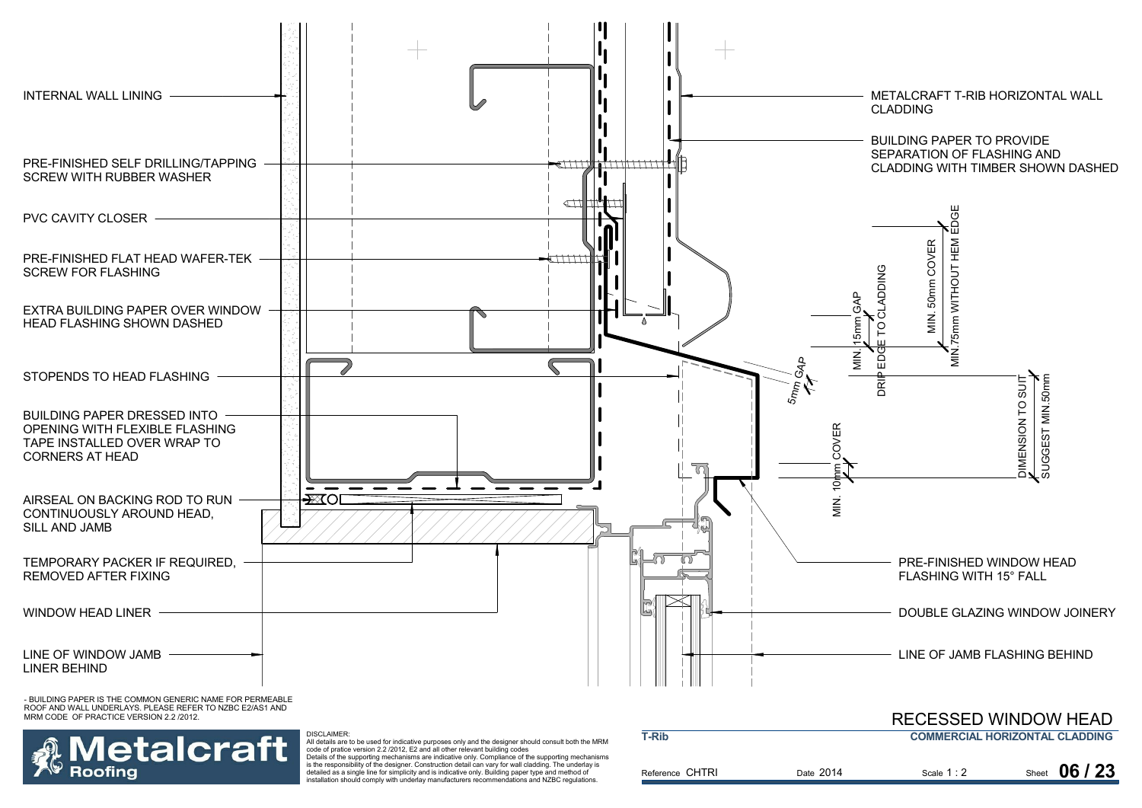

etalcraft Roofina

All details are to be used for indicative purposes only and the designer should consult both the MRM code of pratice version 2.2 /2012, E2 and all other relevant building codes

DISCLAIMER:

Details of the supporting mechanisms are indicative only. Compliance of the supporting mechanisms is the responsibility of the designer. Construction detail can vary for wall cladding. The underlay is detailed as a single line for simplicity and is indicative only. Building paper type and method of installation should comply with underlay manufacturers recommendations and NZBC regulations.

| T-Rib           |           |             | <b>COMMERCIAL HORIZONTAL CLADDING</b> |
|-----------------|-----------|-------------|---------------------------------------|
| Reference CHTRI | Date 2014 | Scale $1:2$ | Sheet 06 / 23                         |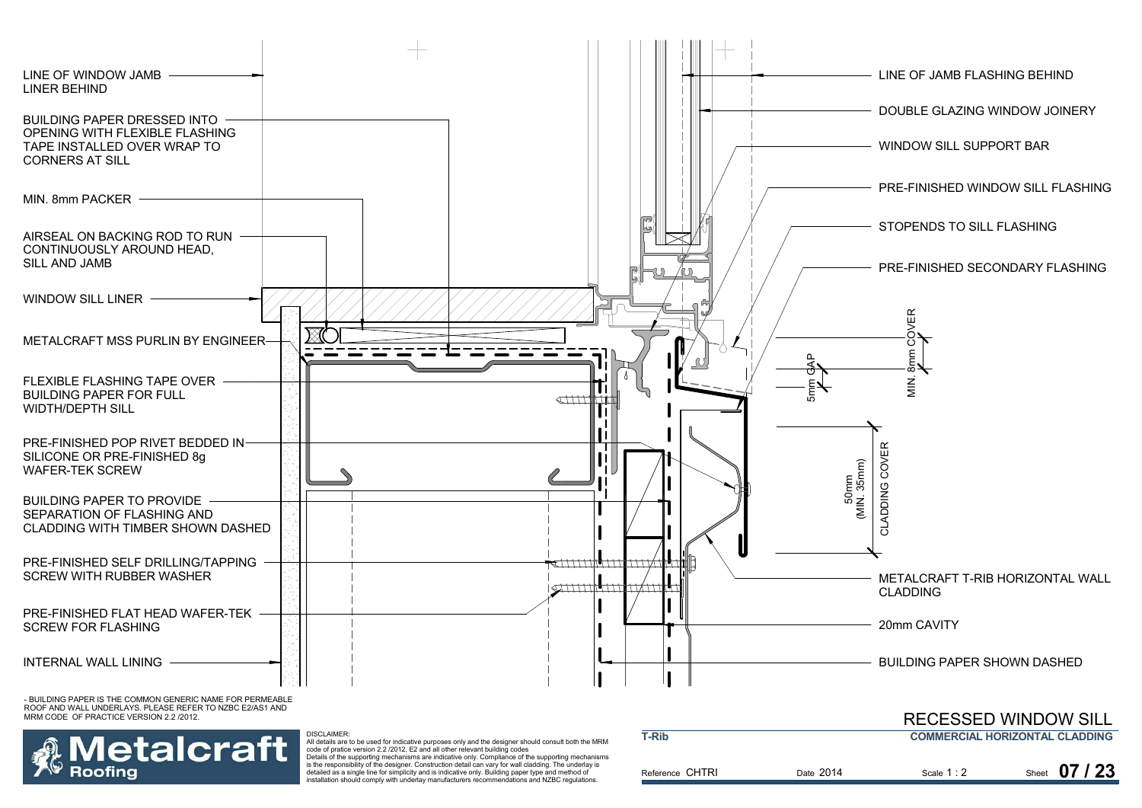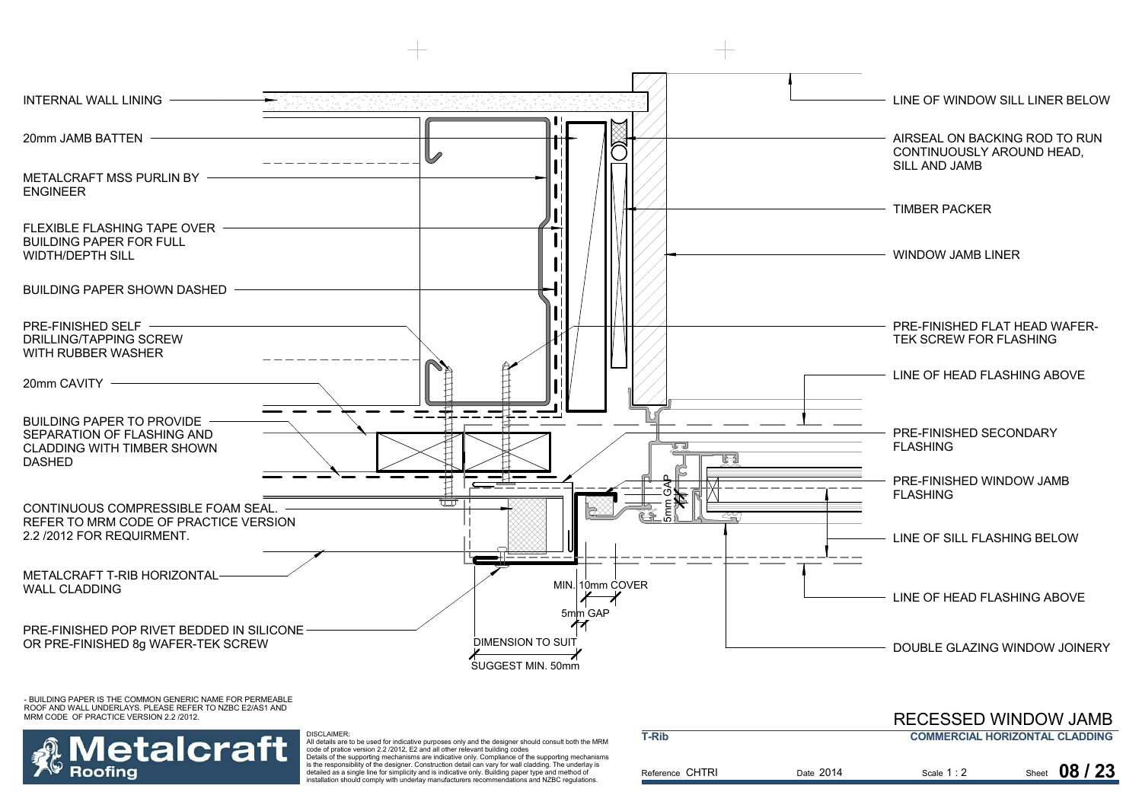



 All details are to be used for indicative purposes only and the designer should consult both the MRM code of pratice version 2.2 /2012, E2 and all other relevant building codes Details of the supporting mechanisms are indicative only. Compliance of the supporting mechanisms is the responsibility of the designer. Construction detail can vary for wall cladding. The underlay is detailed as a single line for simplicity and is indicative only. Building paper type and method of installation should comply with underlay manufacturers recommendations and NZBC regulations.

|                 | REUESSED WINDOW JAMB |             |                                       |
|-----------------|----------------------|-------------|---------------------------------------|
| T-Rib           |                      |             | <b>COMMERCIAL HORIZONTAL CLADDING</b> |
| Reference CHTRI | Date 2014            | Scale $1:2$ | Sheet 08 / 23                         |
|                 |                      |             |                                       |

RECESSED WINDOW JAMB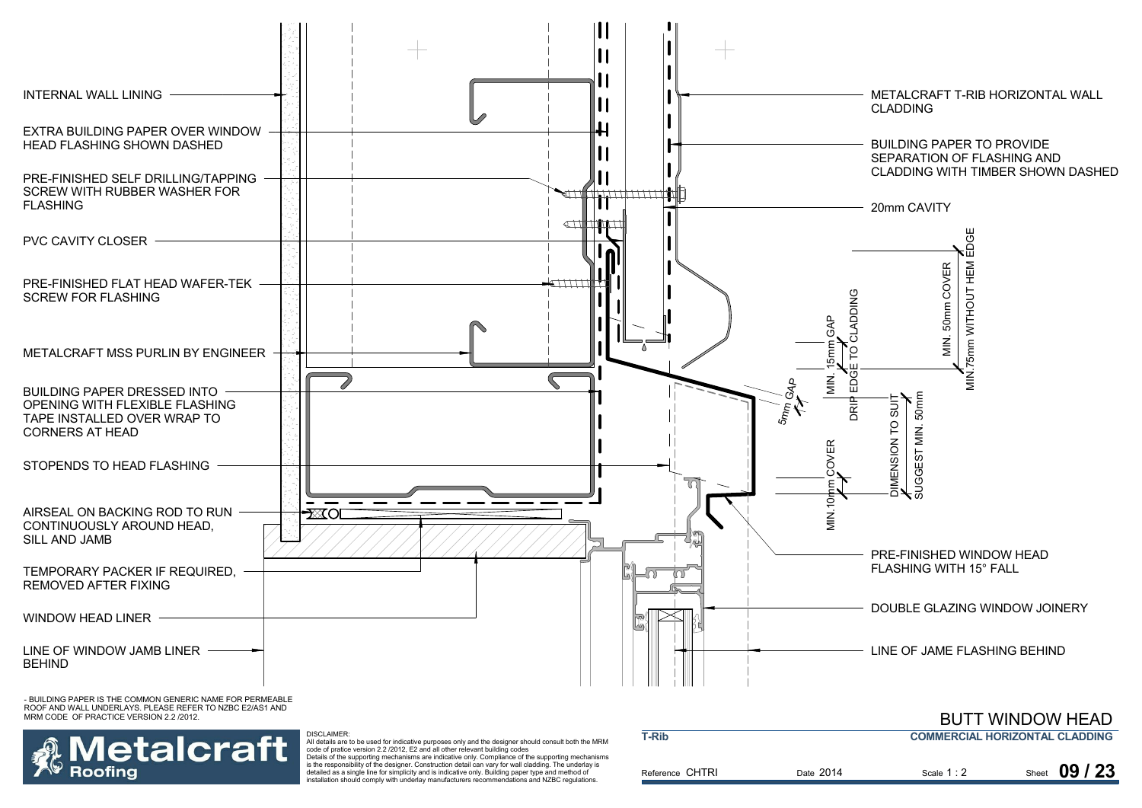

etalcraft Roofina

All details are to be used for indicative purposes only and the designer should consult both the MRM code of pratice version 2.2 /2012, E2 and all other relevant building codes

Details of the supporting mechanisms are indicative only. Compliance of the supporting mechanisms is the responsibility of the designer. Construction detail can vary for wall cladding. The underlay is detailed as a single line for simplicity and is indicative only. Building paper type and method of installation should comply with underlay manufacturers recommendations and NZBC regulations.

| <b>T-Rib</b>    |           | <b>COMMERCIAL HORIZONTAL CLADDING</b> |  |               |
|-----------------|-----------|---------------------------------------|--|---------------|
| Reference CHTRI | Date 2014 | Scale $1:2$                           |  | Sheet 09 / 23 |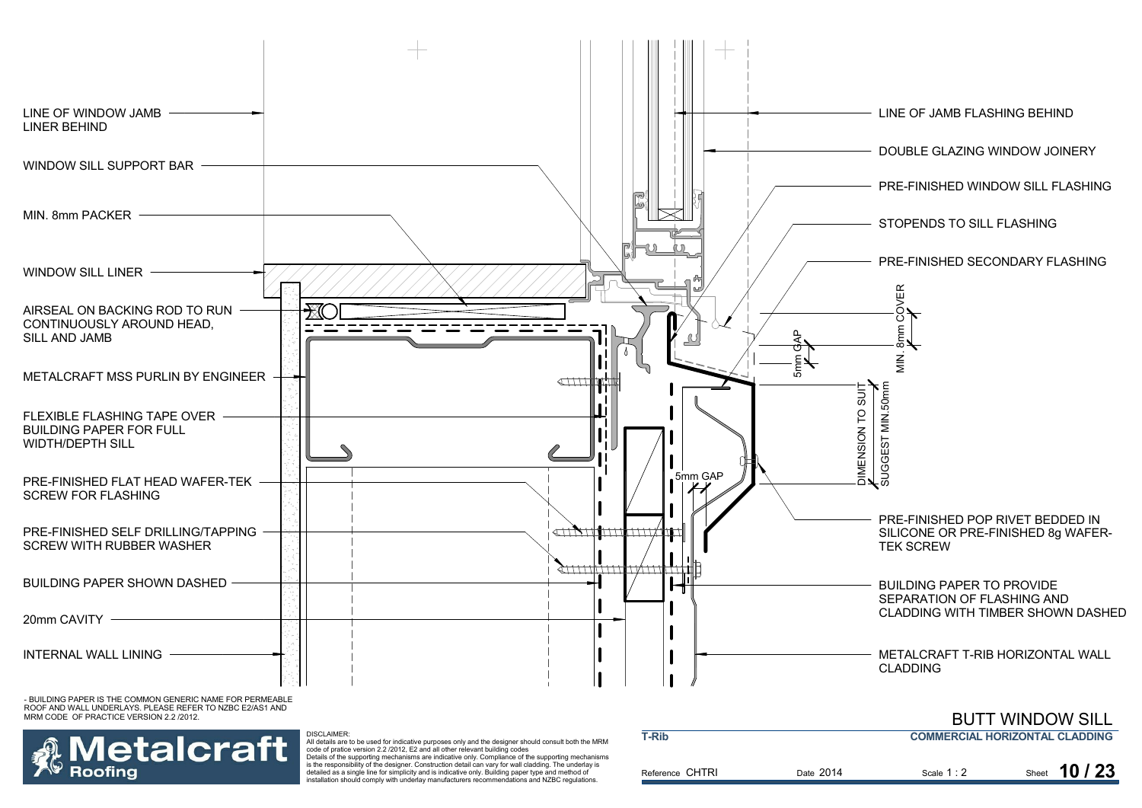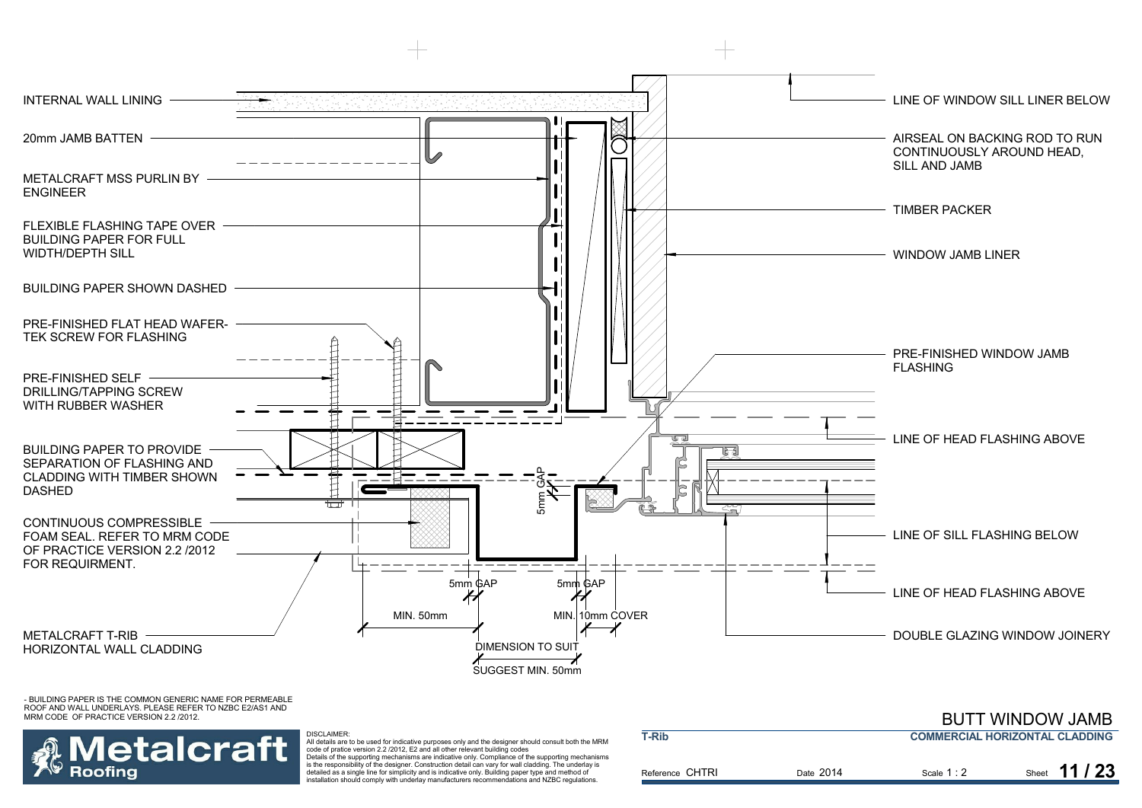

etalcraft

Roofina

DISCLAIMER:

 All details are to be used for indicative purposes only and the designer should consult both the MRM code of pratice version 2.2 /2012, E2 and all other relevant building codes Details of the supporting mechanisms are indicative only. Compliance of the supporting mechanisms is the responsibility of the designer. Construction detail can vary for wall cladding. The underlay is detailed as a single line for simplicity and is indicative only. Building paper type and method of installation should comply with underlay manufacturers recommendations and NZBC regulations.

| T-Rib           |           | <b>COMMERCIAL HORIZONTAL CLADDING</b> |               |  |
|-----------------|-----------|---------------------------------------|---------------|--|
| Reference CHTRI | Date 2014 | Scale $1:2$                           | Sheet 11 / 23 |  |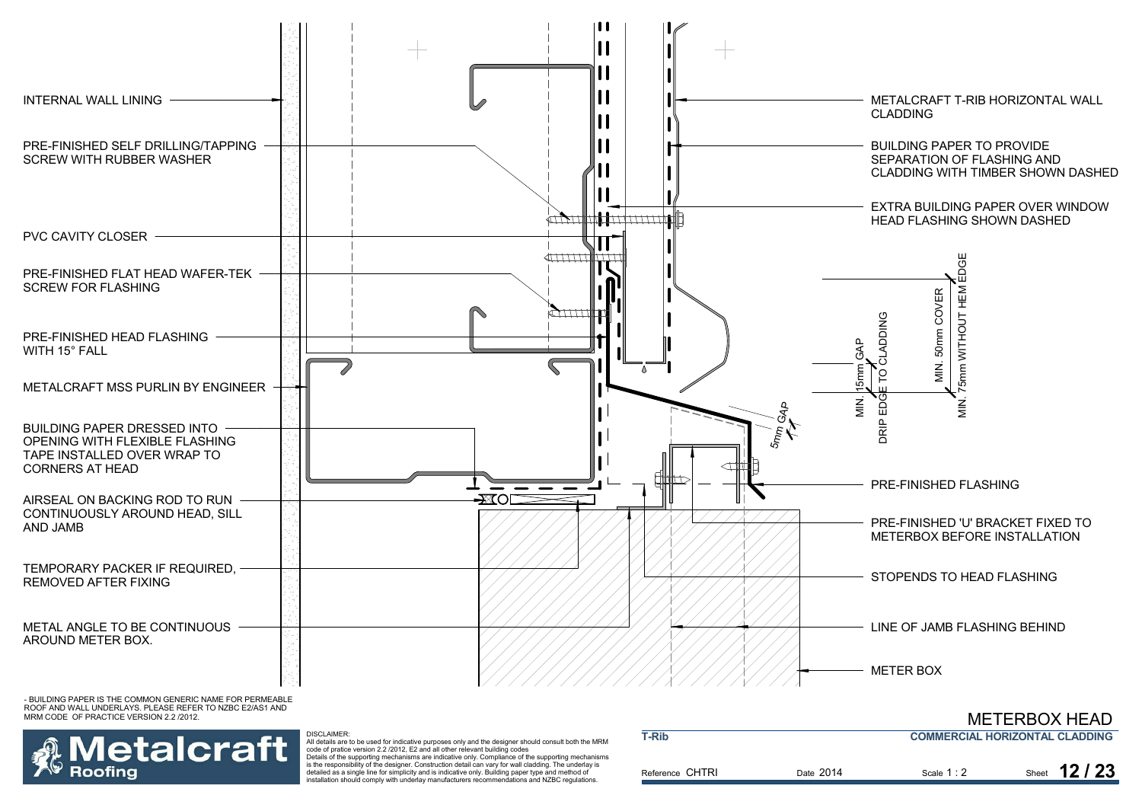



 All details are to be used for indicative purposes only and the designer should consult both the MRM code of pratice version 2.2 /2012, E2 and all other relevant building codes Details of the supporting mechanisms are indicative only. Compliance of the supporting mechanisms is the responsibility of the designer. Construction detail can vary for wall cladding. The underlay is detailed as a single line for simplicity and is indicative only. Building paper type and method of installation should comply with underlay manufacturers recommendations and NZBC regulations.

DISCLAIMER:

| <b>T-Rib</b>    |           | <b>COMMERCIAL HORIZONTAL CLADDING</b> |               |  |
|-----------------|-----------|---------------------------------------|---------------|--|
| Reference CHTRI | Date 2014 | Scale $1:2$                           | Sheet 12 / 23 |  |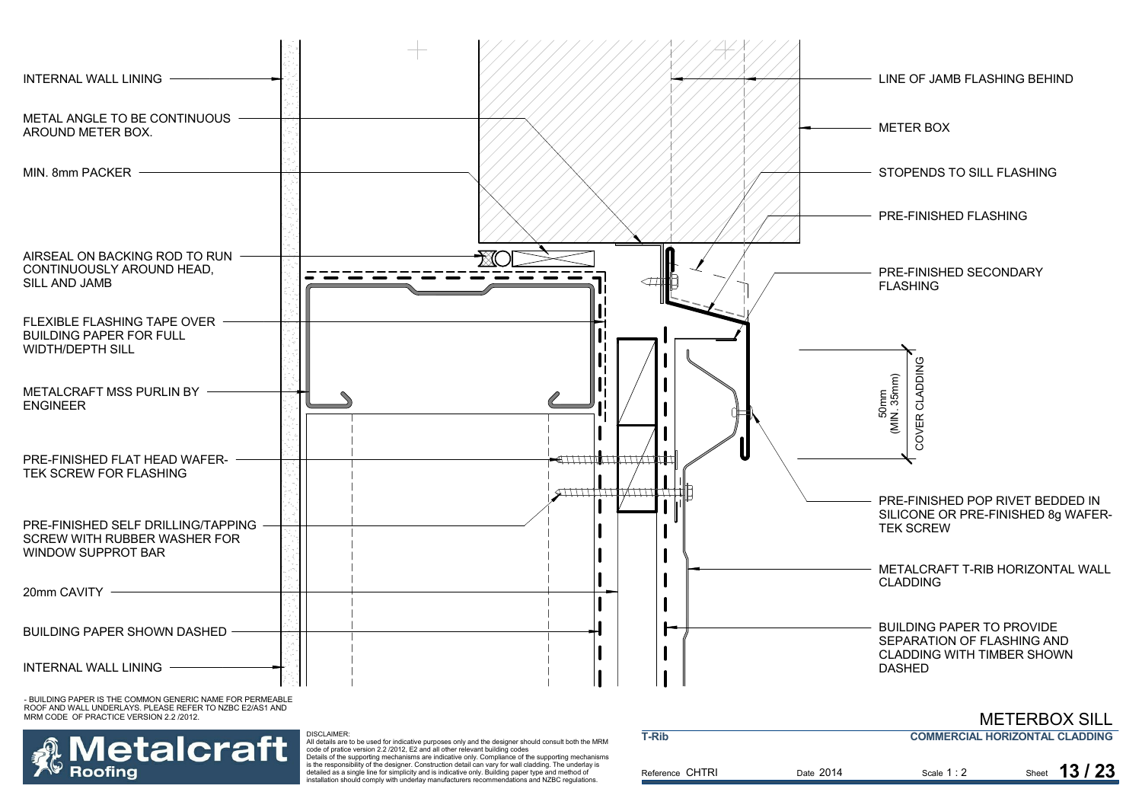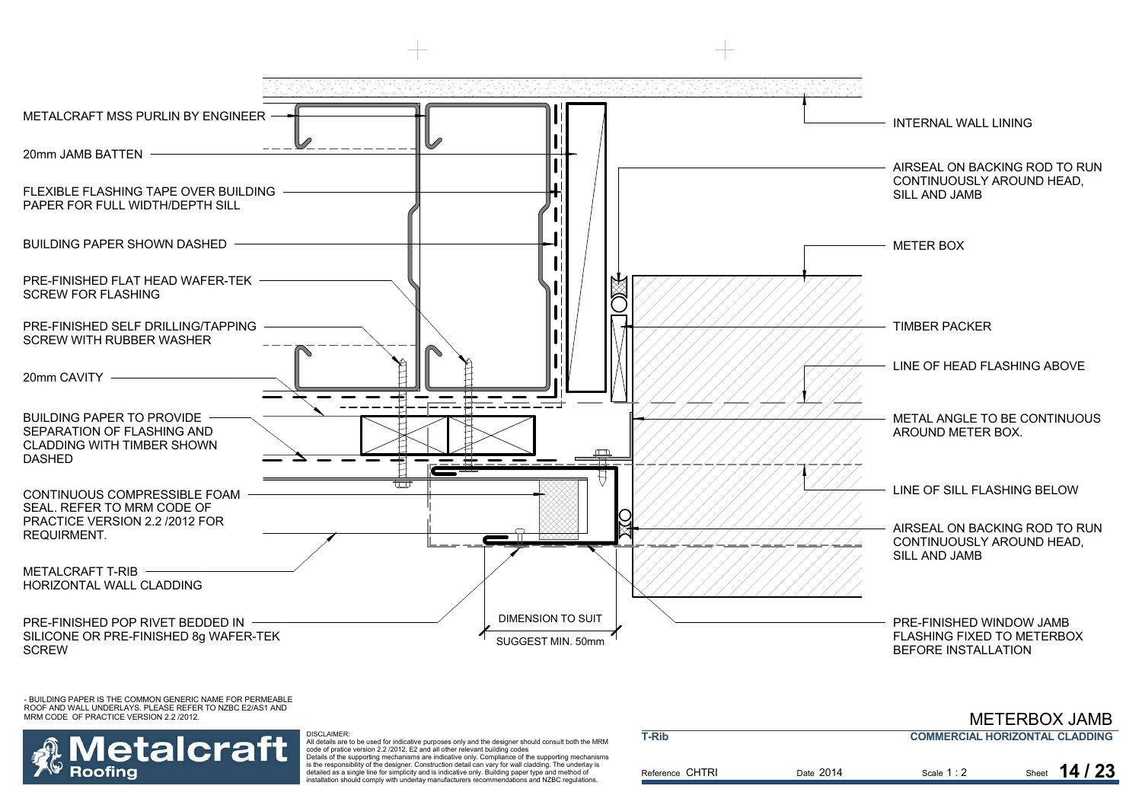

## etalcraft Roofina

#### DISCLAIMER:

 All details are to be used for indicative purposes only and the designer should consult both the MRM code of pratice version 2.2 /2012, E2 and all other relevant building codes Details of the supporting mechanisms are indicative only. Compliance of the supporting mechanisms is the responsibility of the designer. Construction detail can vary for wall cladding. The underlay is detailed as a single line for simplicity and is indicative only. Building paper type and method of installation should comply with underlay manufacturers recommendations and NZBC regulations.

| T-Rib           |           | <b>COMMERCIAL HORIZONTAL CLADDING</b> |               |  |  |
|-----------------|-----------|---------------------------------------|---------------|--|--|
| Reference CHTRI | Date 2014 | Scale $1:2$                           | Sheet $14/23$ |  |  |

METERROX JAMR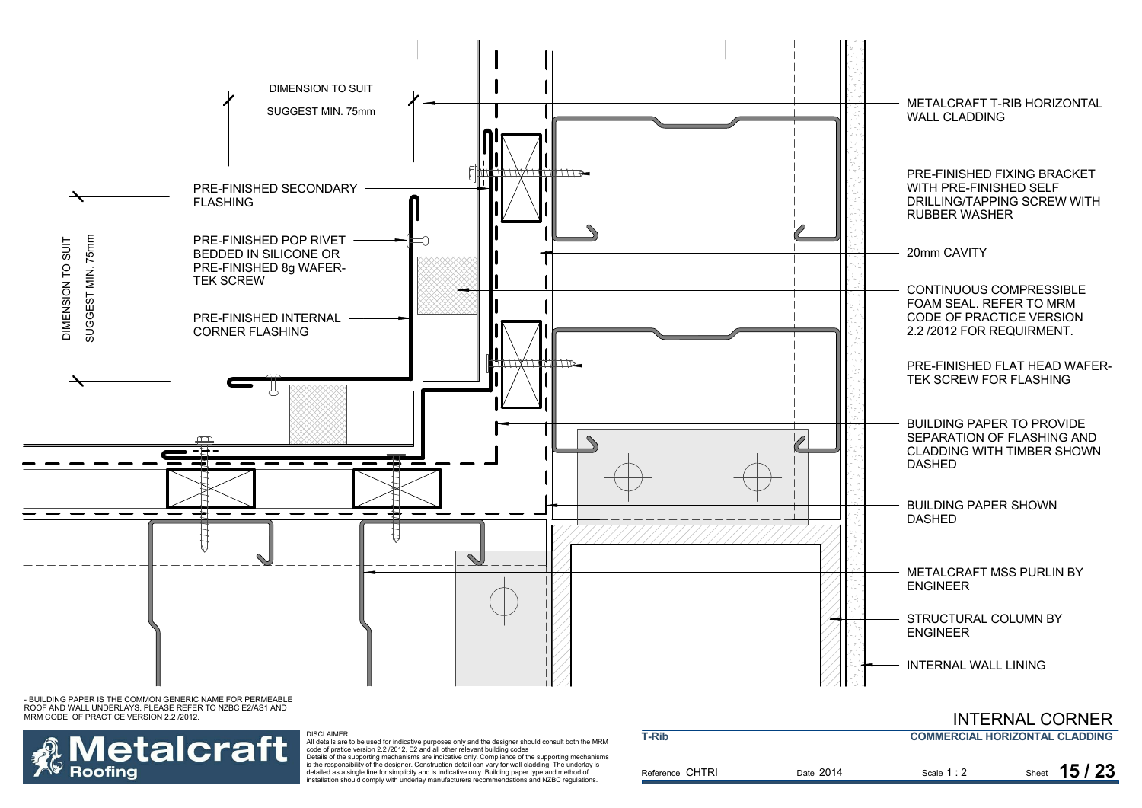



#### DISCLAIMER:

All details are to be used for indicative purposes only and the designer should consult both the MRM code of pratice version 2.2 /2012, E2 and all other relevant building codes Details of the supporting mechanisms are indicative only. Compliance of the supporting mechanisms

is the responsibility of the designer. Construction detail can vary for wall cladding. The underlay is detailed as a single line for simplicity and is indicative only. Building paper type and method of installation should comply with underlay manufacturers recommendations and NZBC regulations.

| <b>T-Rib</b>    | <u>IIN LEINNAL VUINNEIN</u><br><b>COMMERCIAL HORIZONTAL CLADDING</b> |             |                |  |  |
|-----------------|----------------------------------------------------------------------|-------------|----------------|--|--|
| Reference CHTRI | Date 2014                                                            | Scale $1:2$ | 15/23<br>Sheet |  |  |

INITEDNIAI CODNED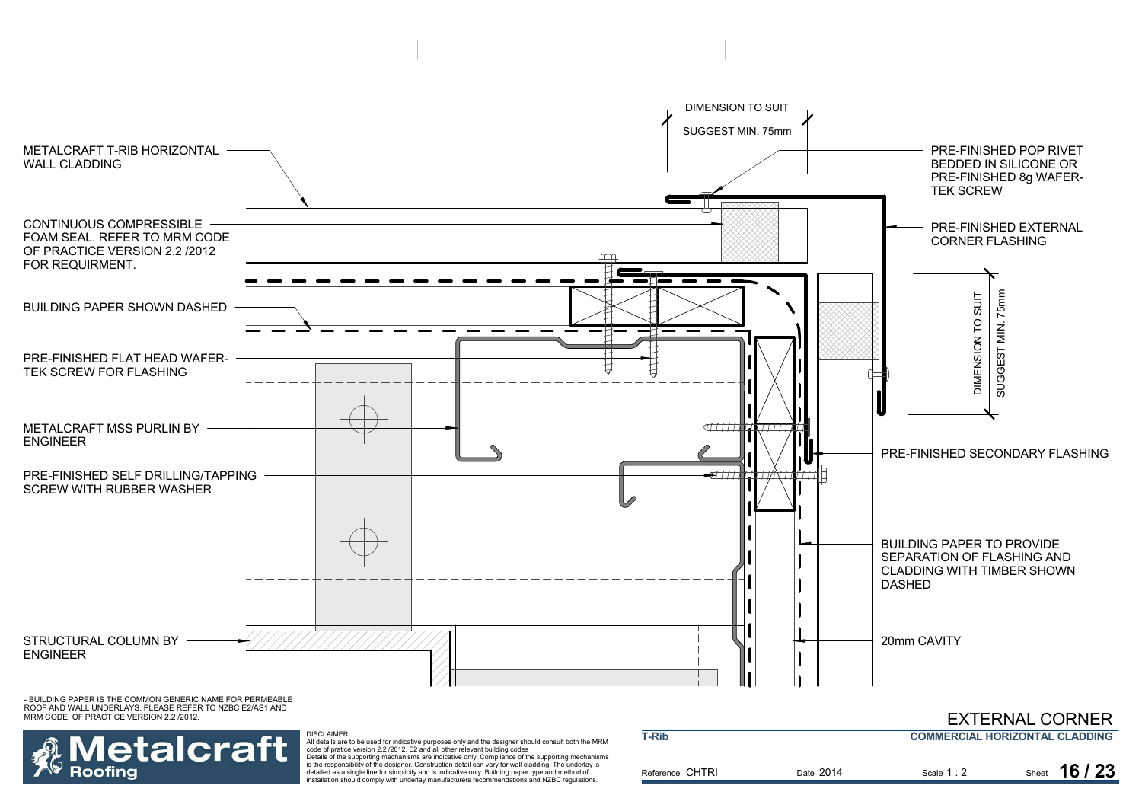

etalcraft **Roofing** 

 All details are to be used for indicative purposes only and the designer should consult both the MRM code of pratice version 2.2 /2012, E2 and all other relevant building codes Details of the supporting mechanisms are indicative only. Compliance of the supporting mechanisms is the responsibility of the designer. Construction detail can vary for wall cladding. The underlay is

DISCLAIMER:

detailed as a single line for simplicity and is indicative only. Building paper type and method of installation should comply with underlay manufacturers recommendations and NZBC regulations.

| <b>T-Rib</b>    |           | _________________________________<br><b>COMMERCIAL HORIZONTAL CLADDING</b> |                |  |
|-----------------|-----------|----------------------------------------------------------------------------|----------------|--|
| Reference CHTRI | Date 2014 | Scale $1:2$                                                                | 16/23<br>Sheet |  |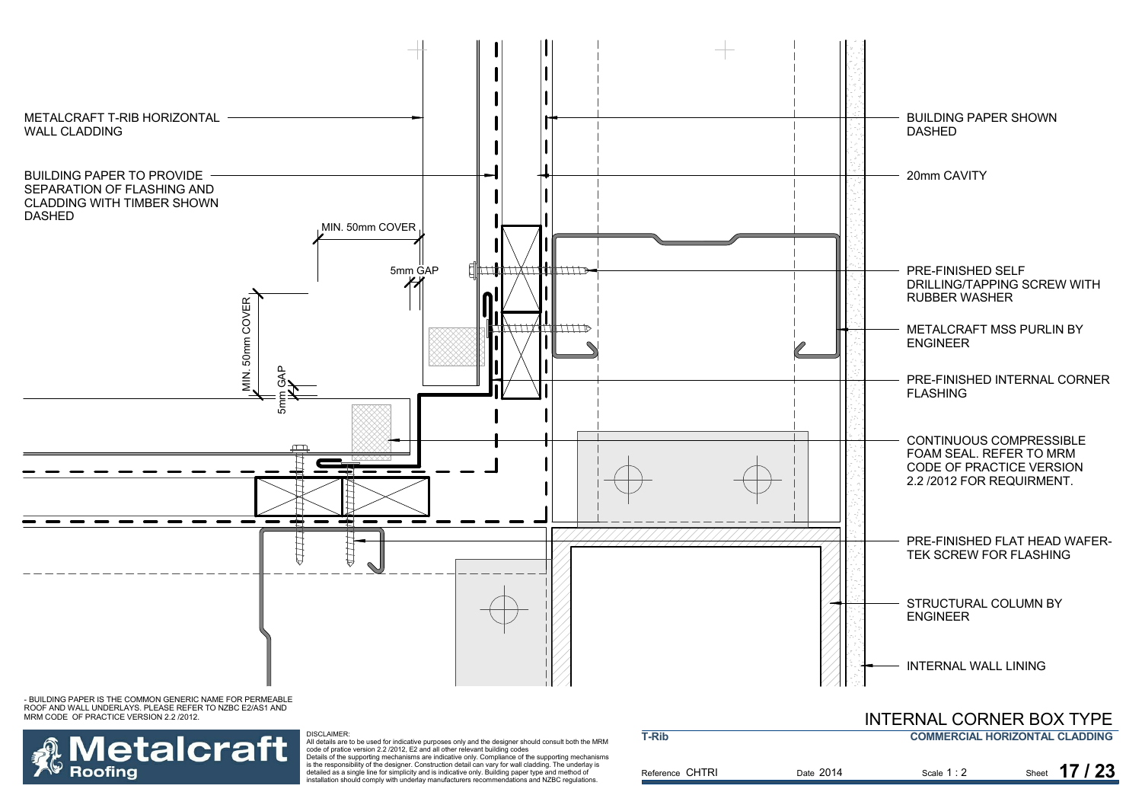

MRM CODE OF PRACTICE VERSION 2.2 /2012.



DISCLAIMER: All details are to be used for indicative purposes only and the designer should consult both the MRM<br>code of pratice version 2.2 /2012, E2 and all other relevant building codes<br>Details of the supporting mechanisms are indi

is the responsibility of the designer. Construction detail can vary for wall cladding. The underlay is detailed as a single line for simplicity and is indicative only. Building paper type and method of installation should comply with underlay manufacturers recommendations and NZBC regulations.

|                 |                                       | INTERNAL CORNER BOATTEE |                |  |  |
|-----------------|---------------------------------------|-------------------------|----------------|--|--|
| <b>T-Rib</b>    | <b>COMMERCIAL HORIZONTAL CLADDING</b> |                         |                |  |  |
| Reference CHTRI | Date 2014                             | Scale $1:2$             | 17/23<br>Sheet |  |  |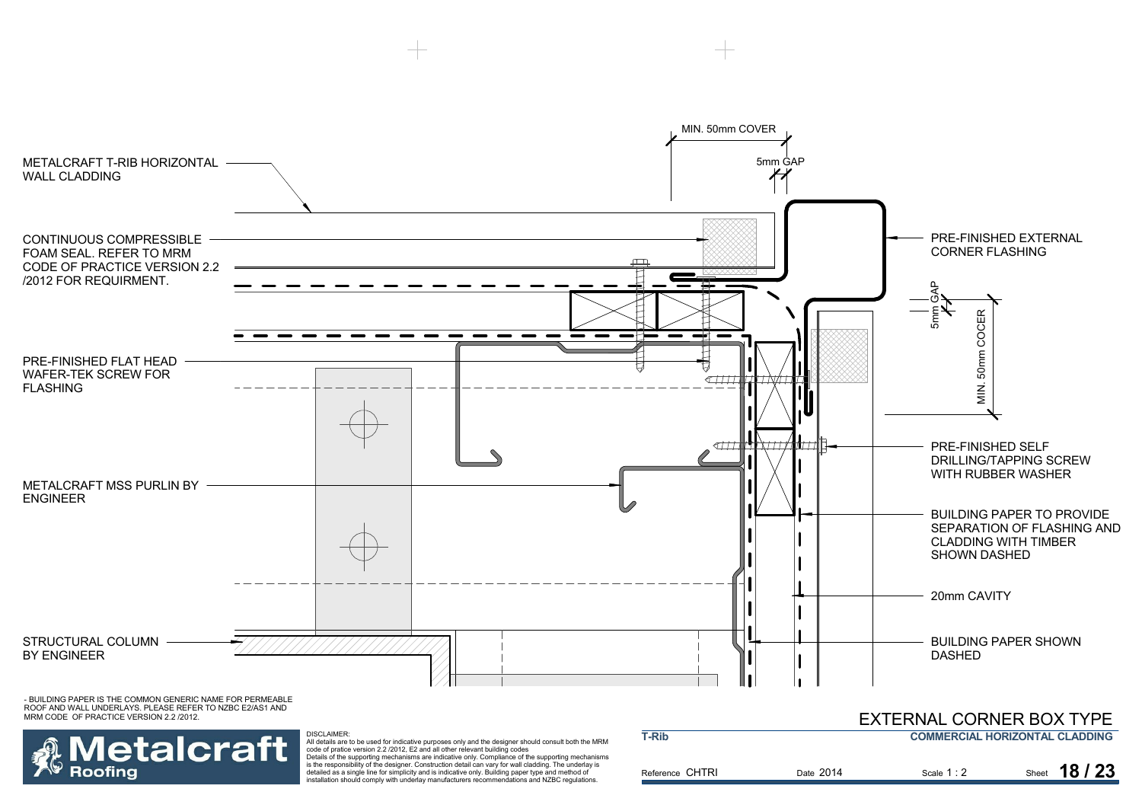

**letalcraft Roofing** 

All details are to be used for indicative purposes only and the designer should consult both the MRM<br>code of pratice version 2.2 /2012, E2 and all other relevant building codes<br>Details of the supporting mechanisms are indi is the responsibility of the designer. Construction detail can vary for wall cladding. The underlay is detailed as a single line for simplicity and is indicative only. Building paper type and method of installation should comply with underlay manufacturers recommendations and NZBC regulations.

DISCLAIMER:

| <b>T-Rib</b>    |           | <b>COMMERCIAL HORIZONTAL CLADDING</b> |               |
|-----------------|-----------|---------------------------------------|---------------|
| Reference CHTRI | Date 2014 | Scale $1:2$                           | Sheet 18 / 23 |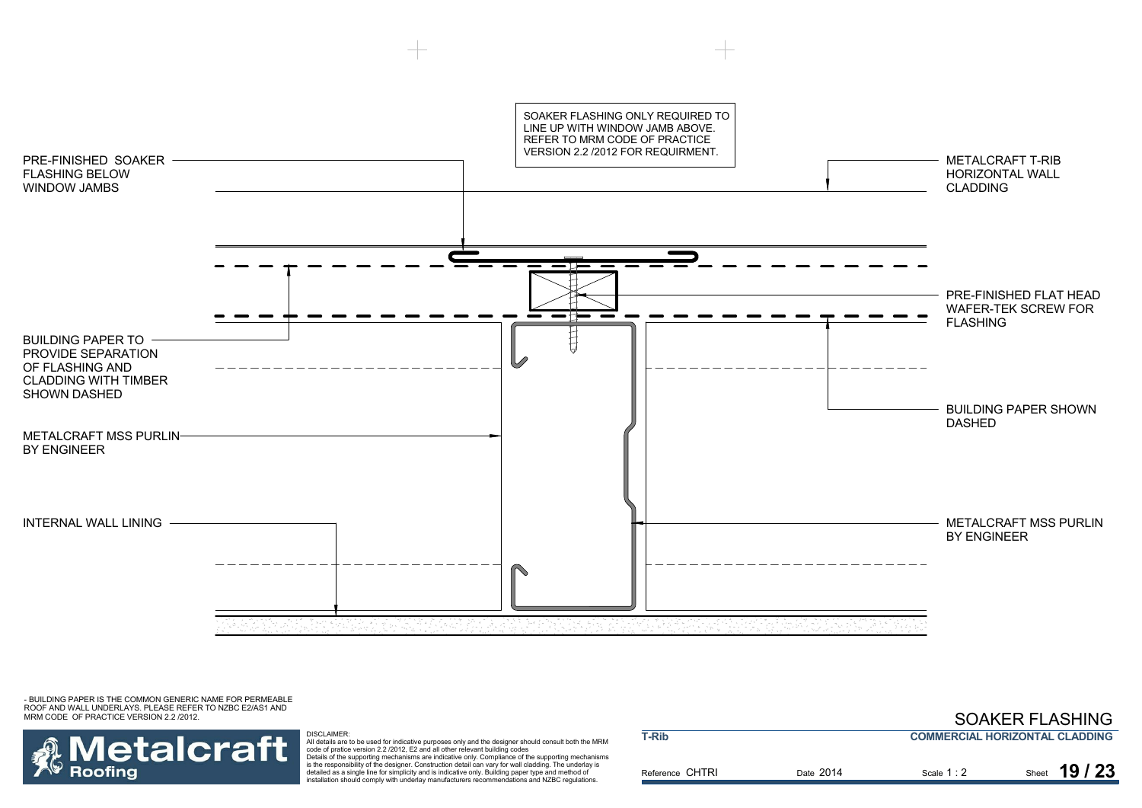SOAKER FLASHING ONLY REQUIRED TOLINE UP WITH WINDOW JAMB ABOVE. REFER TO MRM CODE OF PRACTICE VERSION 2.2 /2012 FOR REQUIRMENT. PRE-FINISHED SOAKERMETALCRAFT T-RIBFLASHING BELOWHORIZONTAL WALL WINDOW JAMBSCLADDINGPRE-FINISHED FLAT HEADWAFER-TEK SCREW FORFLASHINGĦ BUILDING PAPER TO PROVIDE SEPARATIONOF FLASHING ANDCLADDING WITH TIMBERSHOWN DASHEDBUILDING PAPER SHOWN DASHEDMETALCRAFT MSS PURLINBY ENGINEERINTERNAL WALL LINING METALCRAFT MSS PURLIN BY ENGINEER

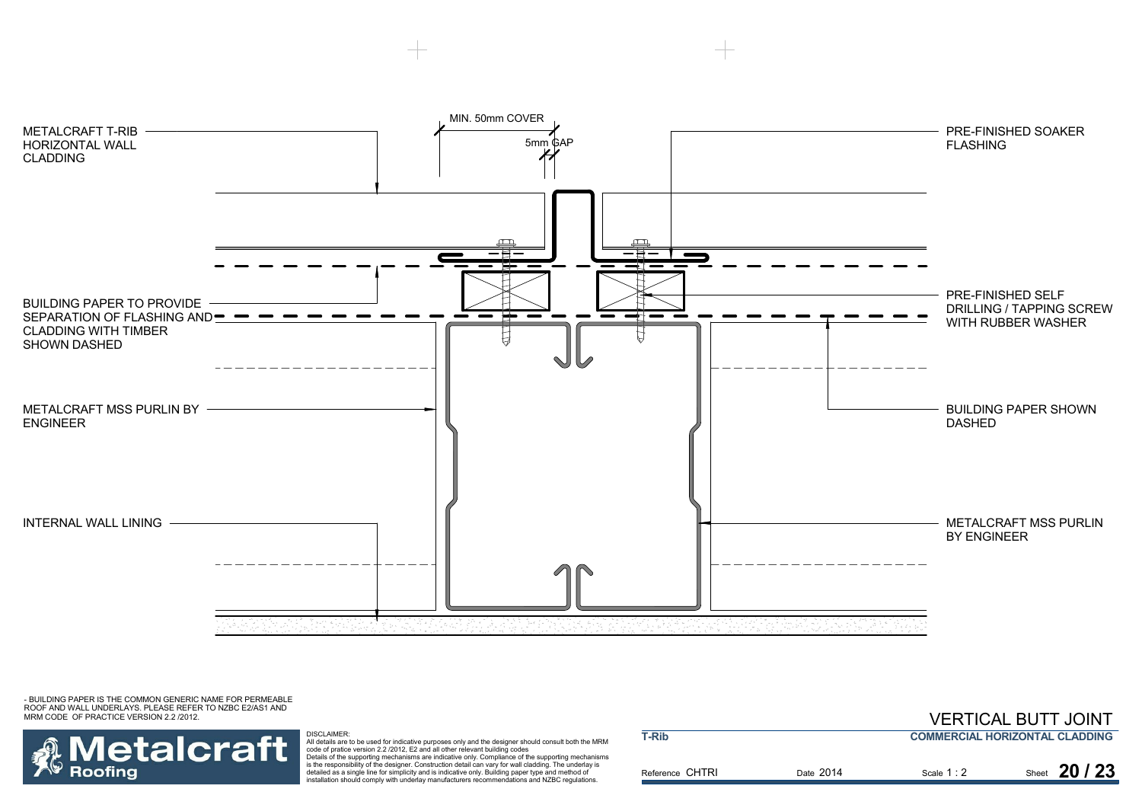



DISCLAIMER:<br>All details are to be used for indicative purposes only and the designer should consult both the MRM<br>Code of pratice version 2.2 /2012, E2 and all other relevant building codes<br>Details of the supporting mechani detailed as a single line for simplicity and is indicative only. Building paper type and method of installation should comply with underlay manufacturers recommendations and NZBC regulations.

|                 |           |             | , __________________________          |
|-----------------|-----------|-------------|---------------------------------------|
| T-Rib           |           |             | <b>COMMERCIAL HORIZONTAL CLADDING</b> |
| Reference CHTRI | Date 2014 | Scale $1:2$ | Sheet 20 / 23                         |

VERTICAL BUTT JOINT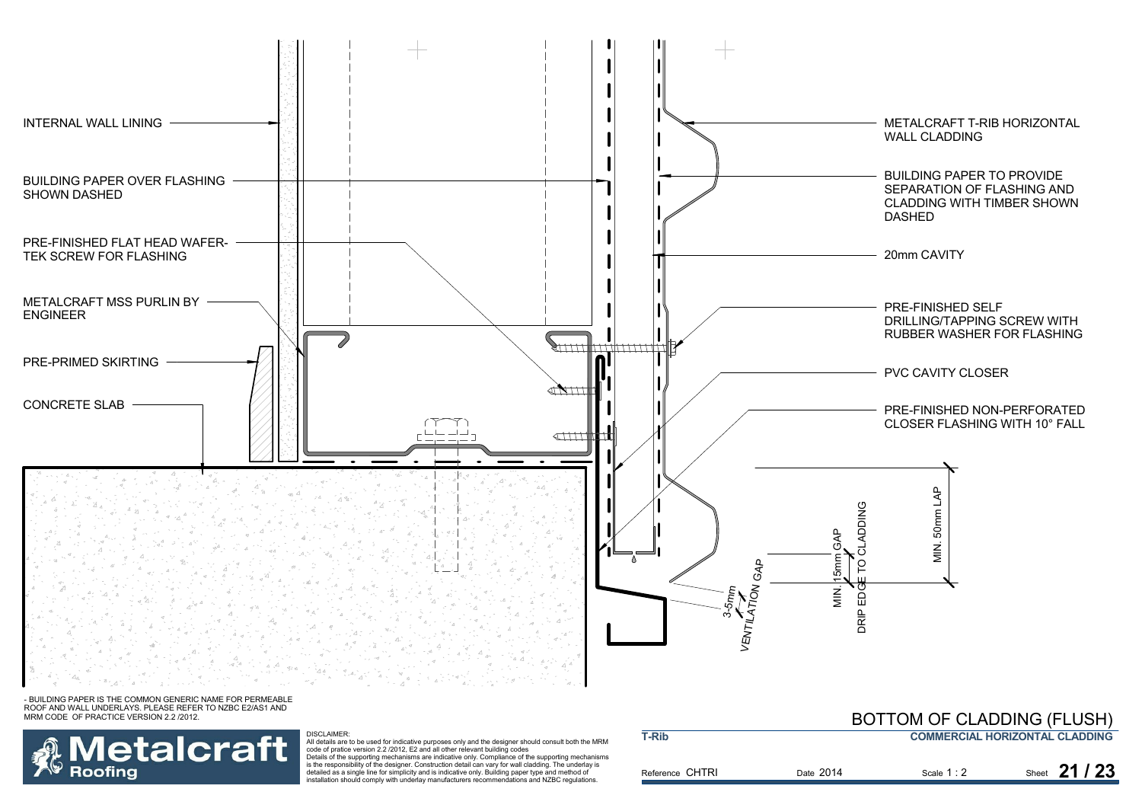

**T-Rib**

- BUILDING PAPER IS THE COMMON GENERIC NAME FOR PERMEABLE ROOF AND WALL UNDERLAYS. PLEASE REFER TO NZBC E2/AS1 AND MRM CODE OF PRACTICE VERSION 2.2 /2012.



#### DISCLAIMER:

All details are to be used for indicative purposes only and the designer should consult both the MRM<br>code of pratice version 2.2 /2012, E2 and all other relevant building codes<br>Details of the supporting mechanisms are indi is the responsibility of the designer. Construction detail can vary for wall cladding. The underlay is detailed as a single line for simplicity and is indicative only. Building paper type and method of installation should comply with underlay manufacturers recommendations and NZBC regulations.

### **COMMERCIAL HORIZONTAL CLADDING**BOTTOM OF CLADDING (FLUSH)

| ---------       |           |             |               |
|-----------------|-----------|-------------|---------------|
| Reference CHTRI | Date 2014 | Scale $1:2$ | Sheet 21 / 23 |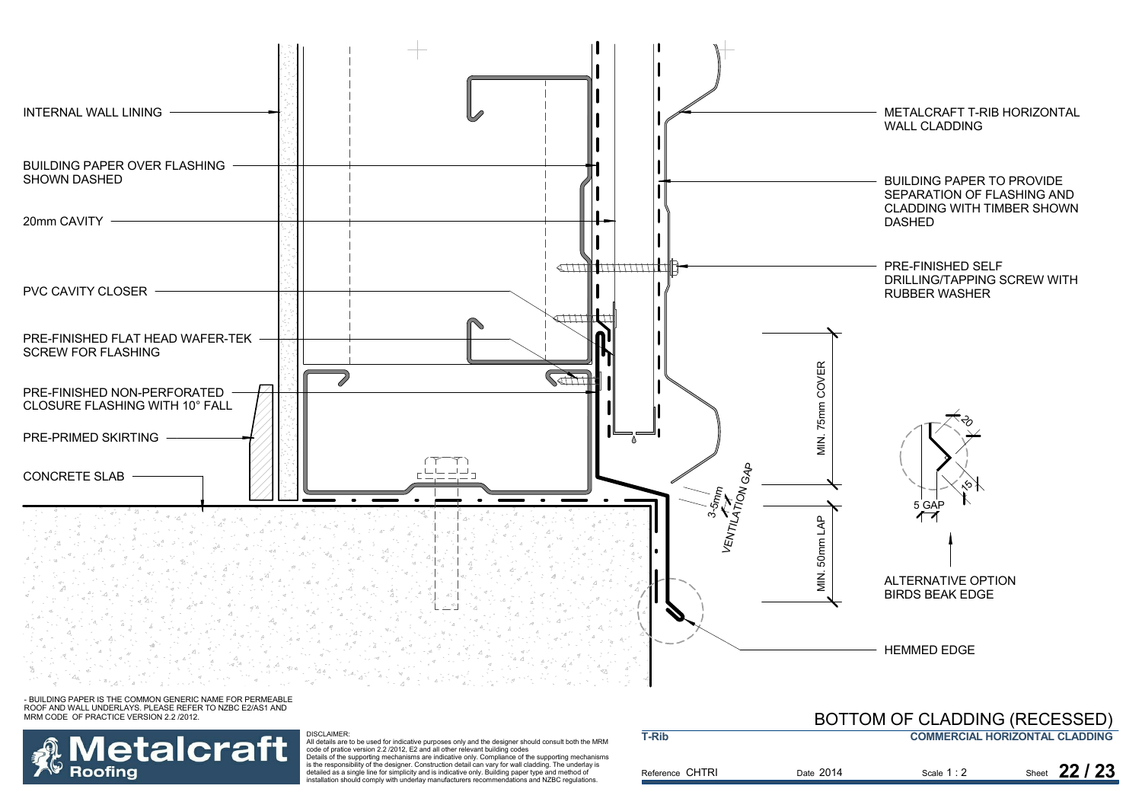



DISCLAIMER:<br>All details are to be used for indicative purposes only and the designer should consult both the MRM<br>Code of pratice version 2.2 /2012, E2 and all other relevant building codes<br>Details of the supporting mechani detailed as a single line for simplicity and is indicative only. Building paper type and method of installation should comply with underlay manufacturers recommendations and NZBC regulations.

#### Reference CHTRI Date Scale Sheet 2014**T-RibCOMMERCIAL HORIZONTAL CLADDING** Scale 1:2 2 Sheet **22 / 23** BOTTOM OF CLADDING (RECESSED)